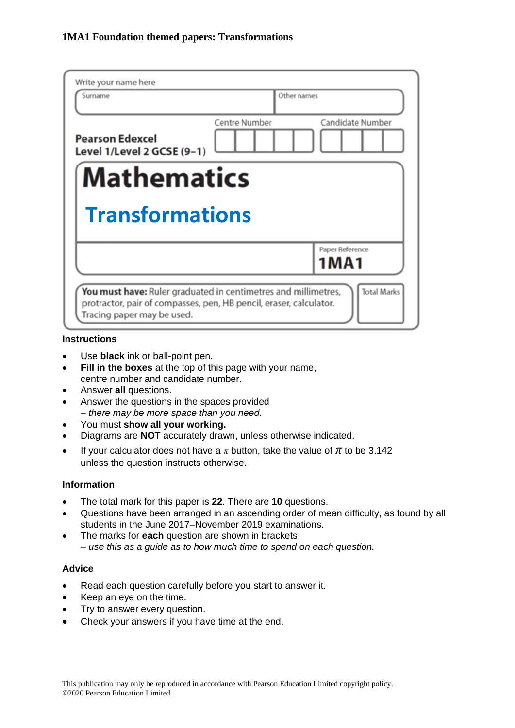| Write your name here<br>Surname                      |               | Other names                |
|------------------------------------------------------|---------------|----------------------------|
| <b>Pearson Edexcel</b><br>Level 1/Level 2 GCSE (9-1) | Centre Number | Candidate Number           |
| <b>Mathematics</b>                                   |               |                            |
|                                                      |               |                            |
| <b>Transformations</b>                               |               |                            |
|                                                      |               | Paper Reference<br>1 M A 1 |

#### **Instructions**

- Use **black** ink or ball-point pen.
- **Fill in the boxes** at the top of this page with your name, centre number and candidate number.
- Answer **all** questions.
- Answer the questions in the spaces provided *– there may be more space than you need.*
- You must **show all your working.**
- Diagrams are **NOT** accurately drawn, unless otherwise indicated.
- If your calculator does not have a  $\pi$  button, take the value of  $\pi$  to be 3.142 unless the question instructs otherwise.

#### **Information**

- The total mark for this paper is **22**. There are **10** questions.
- Questions have been arranged in an ascending order of mean difficulty, as found by all students in the June 2017–November 2019 examinations.
- The marks for **each** question are shown in brackets *– use this as a guide as to how much time to spend on each question.*

#### **Advice**

- Read each question carefully before you start to answer it.
- Keep an eye on the time.
- Try to answer every question.
- Check your answers if you have time at the end.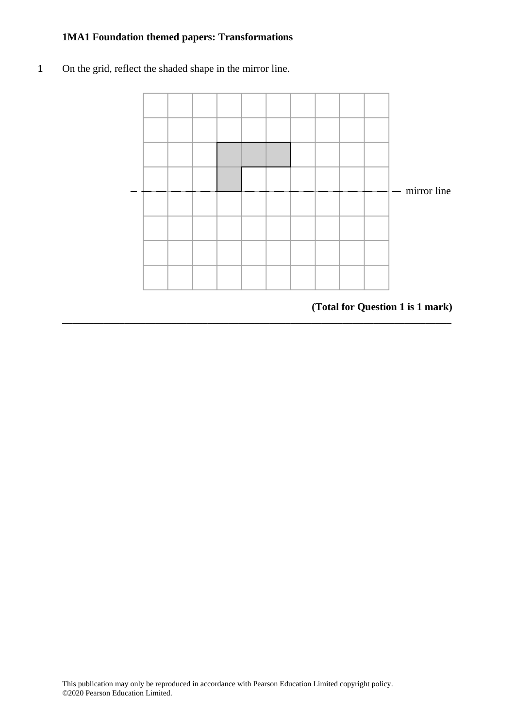**1** On the grid, reflect the shaded shape in the mirror line. **10** On the grid, reflect the shaded shape in the mirror line.



**\_\_\_\_\_\_\_\_\_\_\_\_\_\_\_\_\_\_\_\_\_\_\_\_\_\_\_\_\_\_\_\_\_\_\_\_\_\_\_\_\_\_\_\_\_\_\_\_\_\_\_\_\_\_\_\_\_\_\_\_\_\_\_\_\_\_\_\_\_\_\_\_\_\_\_**

**(Total for Question 1 is 1 mark) (Total for Question 10 is 1 mark)**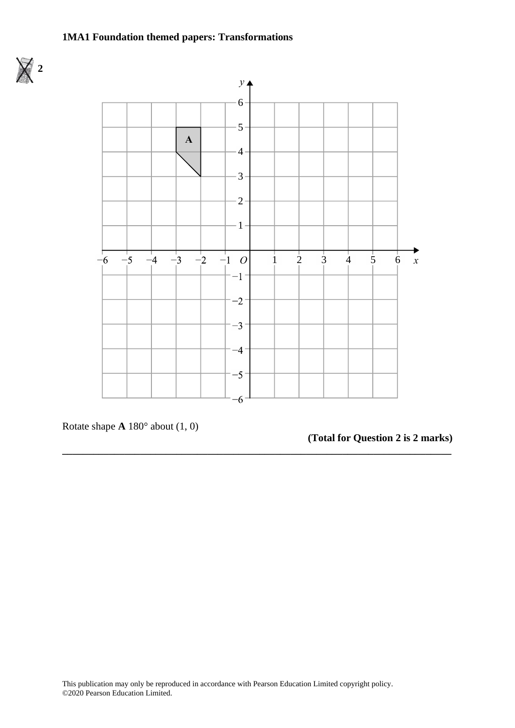



**\_\_\_\_\_\_\_\_\_\_\_\_\_\_\_\_\_\_\_\_\_\_\_\_\_\_\_\_\_\_\_\_\_\_\_\_\_\_\_\_\_\_\_\_\_\_\_\_\_\_\_\_\_\_\_\_\_\_\_\_\_\_\_\_\_\_\_\_\_\_\_\_\_\_\_**

Rotate shape **A** 180° about (1, 0) Rotate shape **A** 180° about (1, 0)

**(Total for Question 2 is 2 marks)**

**(Total for Question 19 is 2 marks)**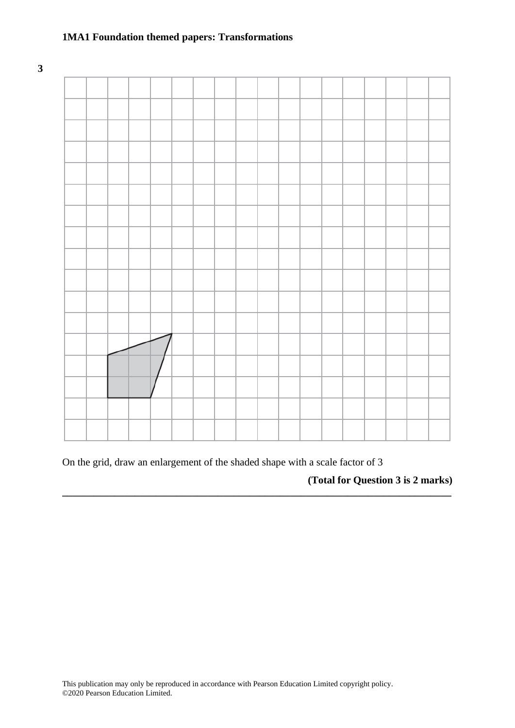**3**



On the grid, draw an enlargement of the shaded shape with a scale factor of 3

**\_\_\_\_\_\_\_\_\_\_\_\_\_\_\_\_\_\_\_\_\_\_\_\_\_\_\_\_\_\_\_\_\_\_\_\_\_\_\_\_\_\_\_\_\_\_\_\_\_\_\_\_\_\_\_\_\_\_\_\_\_\_\_\_\_\_\_\_\_\_\_\_\_\_\_**

**(Total for Question 3 is 2 marks)**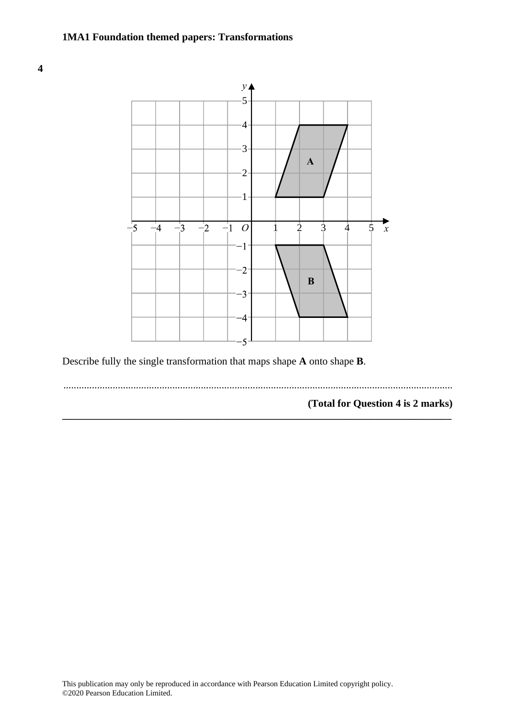#### **1MA1 Foundation themed papers: Transformations (Total for Question 15 is 3 marks)**





Describe fully the single transformation that maps shape **A** onto shape **B**. Describe fully the single transformation that maps shape **A** onto shape **B**.

......................................................................................................................................................

**\_\_\_\_\_\_\_\_\_\_\_\_\_\_\_\_\_\_\_\_\_\_\_\_\_\_\_\_\_\_\_\_\_\_\_\_\_\_\_\_\_\_\_\_\_\_\_\_\_\_\_\_\_\_\_\_\_\_\_\_\_\_\_\_\_\_\_\_\_\_\_\_\_\_\_**

**(Total for Question 4 is 2 marks) (Total for Question 16 is 2 marks)**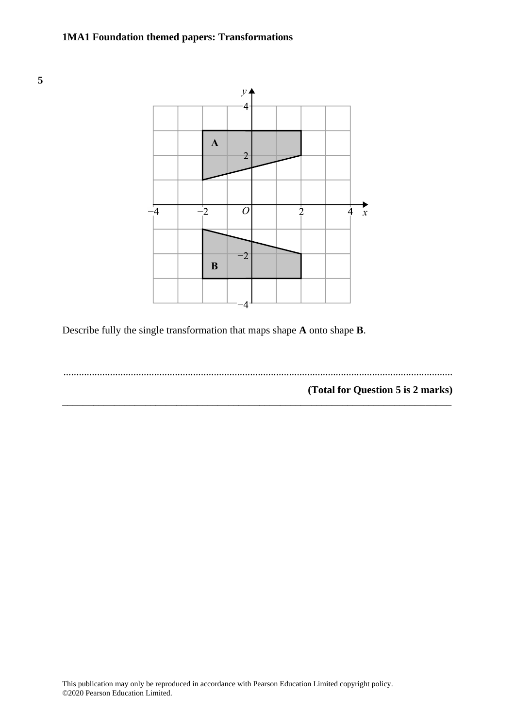

Describe fully the single transformation that maps shape **A** onto shape **B**.

...................................................................................................................................................... **(Total for Question 14 is 2 marks)**

**\_\_\_\_\_\_\_\_\_\_\_\_\_\_\_\_\_\_\_\_\_\_\_\_\_\_\_\_\_\_\_\_\_\_\_\_\_\_\_\_\_\_\_\_\_\_\_\_\_\_\_\_\_\_\_\_\_\_\_\_\_\_\_\_\_\_\_\_\_\_\_\_\_\_\_**

**(Total for Question 5 is 2 marks)**

**5**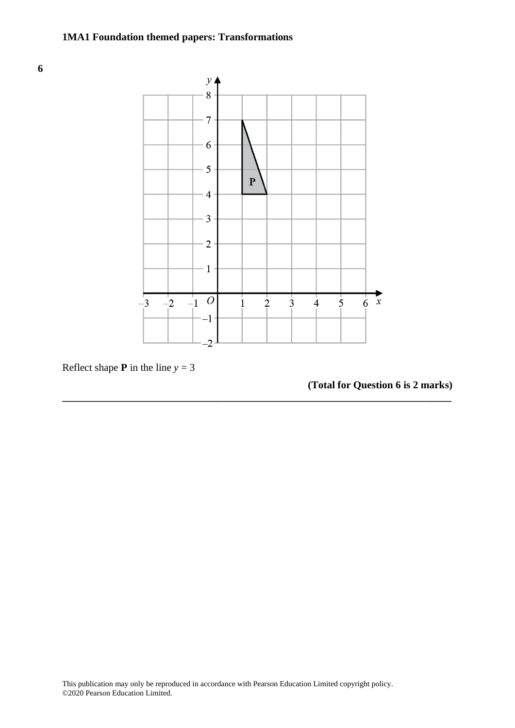



**\_\_\_\_\_\_\_\_\_\_\_\_\_\_\_\_\_\_\_\_\_\_\_\_\_\_\_\_\_\_\_\_\_\_\_\_\_\_\_\_\_\_\_\_\_\_\_\_\_\_\_\_\_\_\_\_\_\_\_\_\_\_\_\_\_\_\_\_\_\_\_\_\_\_\_**

Reflect shape **P** in the line  $y = 3$ 

# **(Total for Question 6 is 2 marks)**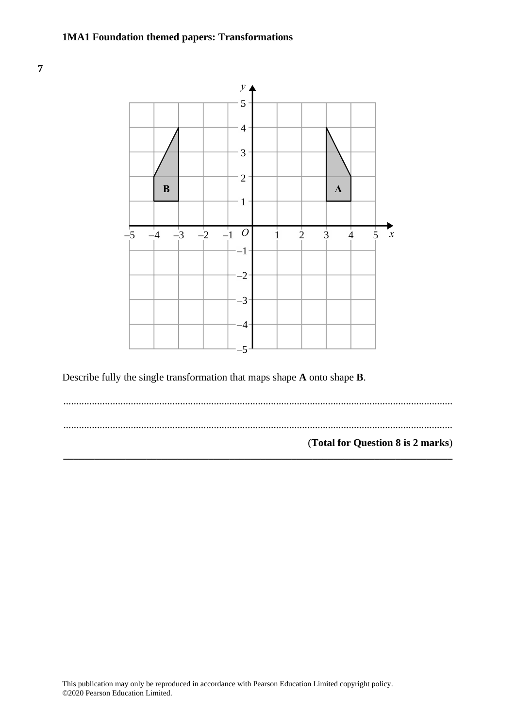



Describe fully the single transformation that maps shape **A** onto shape **B**. Describe fully the single transformation that maps shape **A** onto shape **B**.

...................................................................................................................................................... .................................................................................................................................................................................................................................................. ...................................................................................................................................................... (**Total for Question 8 is 2 marks**) **(Total for Question 18 is 2 marks)\_\_\_\_\_\_\_\_\_\_\_\_\_\_\_\_\_\_\_\_\_\_\_\_\_\_\_\_\_\_\_\_\_\_\_\_\_\_\_\_\_\_\_\_\_\_\_\_\_\_\_\_\_\_\_\_\_\_\_\_\_\_\_\_\_\_\_\_\_\_\_\_\_\_\_**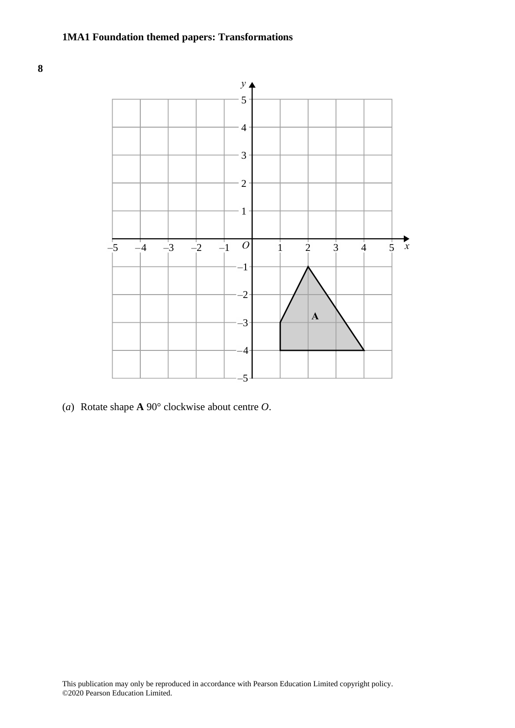



(*a*) Rotate shape **A** 90° clockwise about centre *O*. (a) Rotate shape **A** 90 clockwise about centre *O*.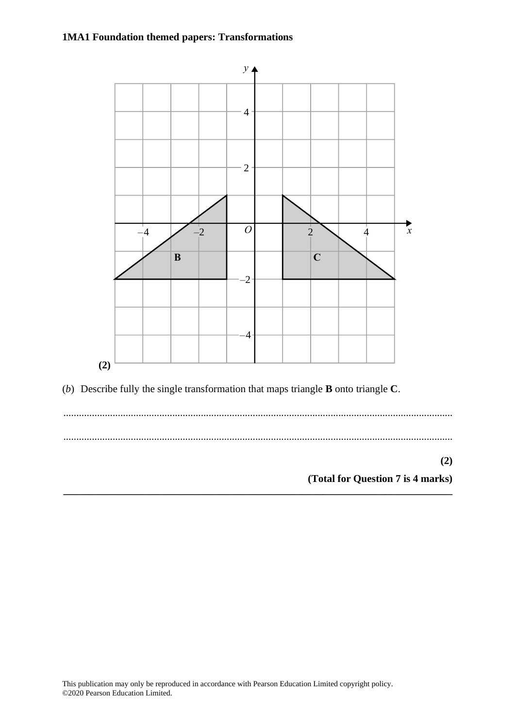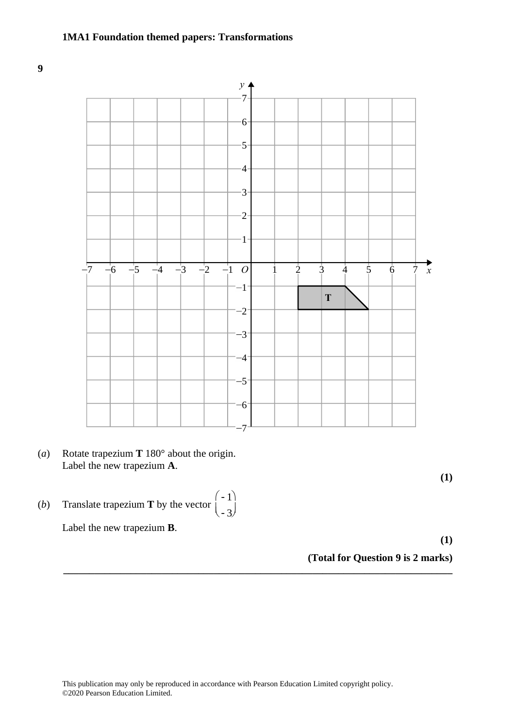**9**



- (*a*) Rotate trapezium **T** 180° about the origin. (a) Rotate trapezium **T** 180° about the origin. Label the new trapezium **A**. Label the new trapezium **A**.
- (*b*) Translate trapezium **T** by the vector  $\begin{bmatrix} -1 \end{bmatrix}$ æ  $\langle$ Translate trapezium **T** by the vector  $\begin{pmatrix} -1 \\ -1 \end{pmatrix}$ .

Label the new trapezium **B**.

**(1)**

**(1)**

**(Total for Question 9 is 2 marks)**

-3

.<br>ا l) ÷

**\_\_\_\_\_\_\_\_\_\_\_\_\_\_\_\_\_\_\_\_\_\_\_\_\_\_\_\_\_\_\_\_\_\_\_\_\_\_\_\_\_\_\_\_\_\_\_\_\_\_\_\_\_\_\_\_\_\_\_\_\_\_\_\_\_\_\_\_\_\_\_\_\_\_\_**